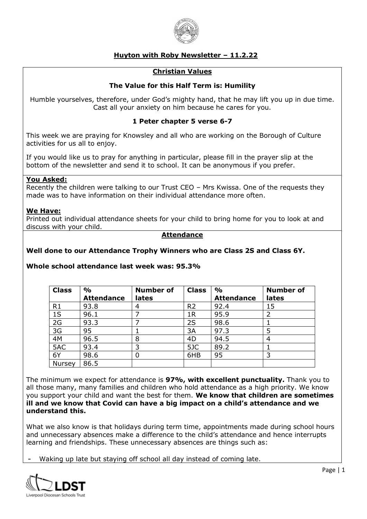

# **Huyton with Roby Newsletter – 11.2.22**

## **Christian Values**

## **The Value for this Half Term is: Humility**

Humble yourselves, therefore, under God's mighty hand, that he may lift you up in due time. Cast all your anxiety on him because he cares for you.

### **1 Peter chapter 5 verse 6-7**

This week we are praying for Knowsley and all who are working on the Borough of Culture activities for us all to enjoy.

If you would like us to pray for anything in particular, please fill in the prayer slip at the bottom of the newsletter and send it to school. It can be anonymous if you prefer.

### **You Asked:**

Recently the children were talking to our Trust CEO – Mrs Kwissa. One of the requests they made was to have information on their individual attendance more often.

### **We Have:**

Printed out individual attendance sheets for your child to bring home for you to look at and discuss with your child.

### **Attendance**

### **Well done to our Attendance Trophy Winners who are Class 2S and Class 6Y.**

### **Whole school attendance last week was: 95.3%**

| <b>Class</b>   | $\frac{0}{0}$     | <b>Number of</b> | <b>Class</b>   | $\frac{0}{0}$     | <b>Number of</b> |
|----------------|-------------------|------------------|----------------|-------------------|------------------|
|                | <b>Attendance</b> | lates            |                | <b>Attendance</b> | lates            |
| R <sub>1</sub> | 93.8              | 4                | R <sub>2</sub> | 92.4              | 15               |
| 1S             | 96.1              |                  | 1R             | 95.9              |                  |
| 2G             | 93.3              |                  | 2S             | 98.6              |                  |
| 3G             | 95                |                  | 3A             | 97.3              |                  |
| 4M             | 96.5              | 8                | 4D             | 94.5              | 4                |
| 5AC            | 93.4              | 3                | 5JC            | 89.2              |                  |
| 6Y             | 98.6              | 0                | 6HB            | 95                | 3                |
| <b>Nursey</b>  | 86.5              |                  |                |                   |                  |

The minimum we expect for attendance is **97%, with excellent punctuality.** Thank you to all those many, many families and children who hold attendance as a high priority. We know you support your child and want the best for them. **We know that children are sometimes ill and we know that Covid can have a big impact on a child's attendance and we understand this.**

What we also know is that holidays during term time, appointments made during school hours and unnecessary absences make a difference to the child's attendance and hence interrupts learning and friendships. These unnecessary absences are things such as:

– Waking up late but staying off school all day instead of coming late.

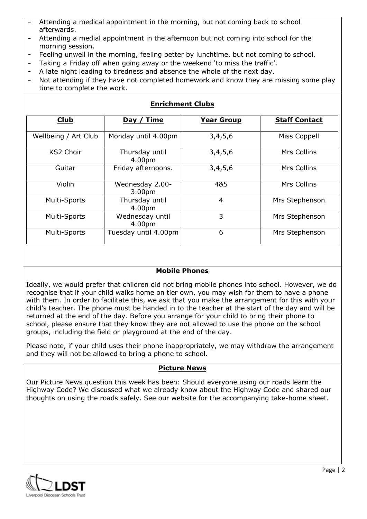- Attending a medical appointment in the morning, but not coming back to school afterwards.
- Attending a medial appointment in the afternoon but not coming into school for the morning session.
- Feeling unwell in the morning, feeling better by lunchtime, but not coming to school.
- Taking a Friday off when going away or the weekend 'to miss the traffic'.
- A late night leading to tiredness and absence the whole of the next day.
- Not attending if they have not completed homework and know they are missing some play time to complete the work.

| <b>Club</b>          | Day / Time                            | <b>Year Group</b> | <b>Staff Contact</b> |
|----------------------|---------------------------------------|-------------------|----------------------|
| Wellbeing / Art Club | Monday until 4.00pm                   | 3,4,5,6           | Miss Coppell         |
| <b>KS2 Choir</b>     | Thursday until<br>4.00pm              | 3,4,5,6           | Mrs Collins          |
| Guitar               | Friday afternoons.                    | 3,4,5,6           | Mrs Collins          |
| Violin               | Wednesday 2.00-<br>3.00 <sub>pm</sub> | 4&5               | Mrs Collins          |
| Multi-Sports         | Thursday until<br>4.00pm              | 4                 | Mrs Stephenson       |
| Multi-Sports         | Wednesday until<br>4.00pm             | 3                 | Mrs Stephenson       |
| <b>Multi-Sports</b>  | Tuesday until 4.00pm                  | 6                 | Mrs Stephenson       |

### **Enrichment Clubs**

## **Mobile Phones**

Ideally, we would prefer that children did not bring mobile phones into school. However, we do recognise that if your child walks home on tier own, you may wish for them to have a phone with them. In order to facilitate this, we ask that you make the arrangement for this with your child's teacher. The phone must be handed in to the teacher at the start of the day and will be returned at the end of the day. Before you arrange for your child to bring their phone to school, please ensure that they know they are not allowed to use the phone on the school groups, including the field or playground at the end of the day.

Please note, if your child uses their phone inappropriately, we may withdraw the arrangement and they will not be allowed to bring a phone to school.

## **Picture News**

Our Picture News question this week has been: Should everyone using our roads learn the Highway Code? We discussed what we already know about the Highway Code and shared our thoughts on using the roads safely. See our website for the accompanying take-home sheet.

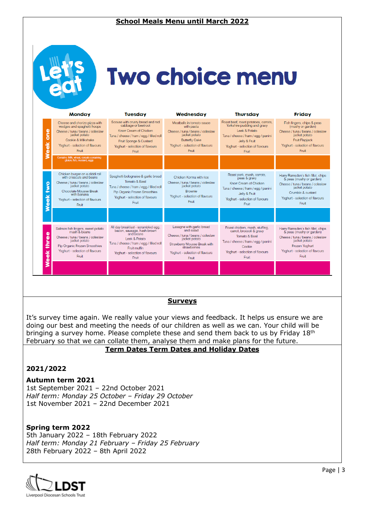|            |                                                                                                                                                                                                      | <b>Two choice menu</b>                                                                                                                                                                                |                                                                                                                                                                                         |                                                                                                                                                                                         |                                                                                                                                                                                      |  |
|------------|------------------------------------------------------------------------------------------------------------------------------------------------------------------------------------------------------|-------------------------------------------------------------------------------------------------------------------------------------------------------------------------------------------------------|-----------------------------------------------------------------------------------------------------------------------------------------------------------------------------------------|-----------------------------------------------------------------------------------------------------------------------------------------------------------------------------------------|--------------------------------------------------------------------------------------------------------------------------------------------------------------------------------------|--|
|            | <b>Monday</b>                                                                                                                                                                                        | <b>Tuesday</b>                                                                                                                                                                                        | <b>Wednesday</b>                                                                                                                                                                        | <b>Thursday</b>                                                                                                                                                                         | Friday                                                                                                                                                                               |  |
| Week one   | Cheese and chorizo pizza with<br>wedges and spaghetti hoops<br>Cheese / tuna / beans / coleslaw<br>jacket potato<br>Cookie & Milkshake<br>Yoghurt - selection of flavours<br>Fruit                   | Scouse with crusty bread and red<br>cabbage or beetroot<br>Knorr Cream of Chicken<br>Tuna / cheese / ham / egg / filled roll<br>Fruit Sponge & Custard<br>Yoghurt - selection of flavours<br>Fruit    | Meatballs in tomato sauce<br>with pasta<br>Cheese / tuna / beans / coleslaw<br>jacket potato<br><b>Butterfly Cake</b><br>Yoghurt - selection of flavours<br>Fruit                       | Roast beef, roast potatoes, carrots,<br>Yorkshire pudding and gravy<br>Leek & Potato<br>Tuna / cheese / ham / egg / panini<br>Jelly & Fruit<br>Yoghurt - selection of flavours<br>Fruit | Fish fingers, chips & peas<br>(mushy or garden)<br>Cheese / tuna / beans / coleslaw<br>jacket potato<br><b>Fruit Flapjack</b><br>Yoghurt - selection of flavours<br>Fruit            |  |
|            | Contains: Milk, wheat, cereals containing<br>gluten, fish, mustard, eggs                                                                                                                             |                                                                                                                                                                                                       |                                                                                                                                                                                         |                                                                                                                                                                                         |                                                                                                                                                                                      |  |
| Week two   | Chicken burger on a diddi roll<br>with crisscuts and beans<br>Cheese / tuna / beans / coleslaw<br>jacket potato<br>Chocolate Mousse Break<br>with banana<br>Yoghurt - selection of flavours<br>Fruit | Spaghetti bolognaise & garlic bread<br>Tomato & Basil<br>Tuna / cheese / ham / egg / filled roll<br>Pip Organic Frozen Smoothies<br>Yoghurt - selection of flavours<br>Fruit                          | Chicken Korma with rice<br>Cheese / tuna / beans / coleslaw<br>jacket potato<br><b>Brownie</b><br>Yoghurt - selection of flavours<br>Fruit                                              | Roast pork, mash, carrots,<br>peas & gravy<br>Knorr Cream of Chicken<br>Tuna / cheese / ham / egg / panini<br>Jelly & Fruit<br>Yoghurt - selection of flavours<br>Fruit                 | Harry Ramsden's fish fillet, chips<br>& peas (mushy or garden)<br>Cheese / tuna / beans / coleslaw<br>jacket potato<br>Crumble & custard<br>Yoghurt - selection of flavours<br>Fruit |  |
|            |                                                                                                                                                                                                      |                                                                                                                                                                                                       |                                                                                                                                                                                         |                                                                                                                                                                                         |                                                                                                                                                                                      |  |
| Week three | Salmon fish fingers, sweet potato<br>mash & beans<br>Cheese / tuna / beans / coleslaw<br>jacket potato<br>Pip Organic Frozen Smoothies<br>Yoghurt - selection of flavours<br>Fruit                   | All day breakfast - scrambled egg,<br>bacon, sausage, hash brown<br>and beans<br>Leek & Potato<br>Tuna / cheese / ham / egg / filled roll<br>Fruit muffin<br>Yoghurt - selection of flavours<br>Fruit | Lasagne with garlic bread<br>and salad<br>Cheese / tuna / beans / coleslaw<br>jacket potato<br>Strawberry Mousse Break with<br>strawberries<br>Yoghurt - selection of flavours<br>Fruit | Roast chicken, mash, stuffing,<br>carrot, broccoli & gravy<br>Tomato & Basil<br>Tuna / cheese / ham / egg / panini<br>Cookie<br>Yoghurt - selection of flavours<br>Fruit                | Harry Ramsden's fish fillet, chips<br>& peas (mushy or garden)<br>Cheese / tuna / beans / coleslaw<br>jacket potato<br>Frozen Yoghurt<br>Yoghurt - selection of flavours<br>Fruit    |  |
|            |                                                                                                                                                                                                      |                                                                                                                                                                                                       |                                                                                                                                                                                         |                                                                                                                                                                                         |                                                                                                                                                                                      |  |

**School Meals Menu until March 2022**

## **Surveys**

It's survey time again. We really value your views and feedback. It helps us ensure we are doing our best and meeting the needs of our children as well as we can. Your child will be bringing a survey home. Please complete these and send them back to us by Friday 18<sup>th</sup> February so that we can collate them, analyse them and make plans for the future.

# **Term Dates Term Dates and Holiday Dates**

# **2021/2022**

**Autumn term 2021** 1st September 2021 – 22nd October 2021 *Half term: Monday 25 October – Friday 29 October* 1st November 2021 – 22nd December 2021

## **Spring term 2022**

5th January 2022 – 18th February 2022 *Half term: Monday 21 February – Friday 25 February* 28th February 2022 – 8th April 2022